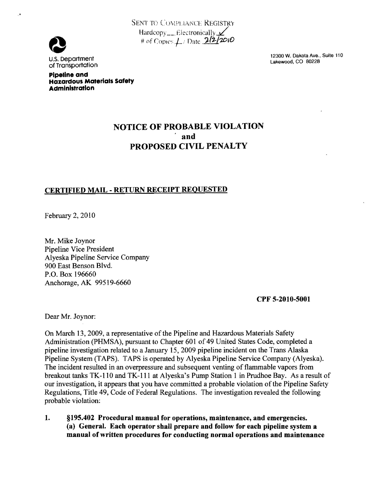



Pipeline and Hazardous Materials Safety Administration

12300W. Dakota Ave., Suite 110 U.S. Department Lakewood, CO 80228 of Transportation

## NOTICE OF PROBABLE VIOLATION PROPOSED CIVIL PENALTY

## CERTIFIED MAIL - RETURN RECEIPT REQUESTED

February 2,2010

Mr. Mike Joynor Pipeline Vice President Alyeska Pipeline Service Company 900 East Benson Blvd. P.O. Box 196660 Anchorage, AK 99519-6660

CPF 5-2010-5001

Dear Mr. Joynor:

On March 13, 2009, a representative of the Pipeline and Hazardous Materials Safety Administration (PHMSA), pursuant to Chapter 601 of 49 United States Code, completed a pipeline investigation related to a January 15,2009 pipeline incident on the Trans Alaska Pipeline System (TAPS). TAPS is operated by Alyeska Pipeline Service Company (Alyeska). The incident resulted in an overpressure and subsequent venting of flammable vapors from breakout tanks TK-IlO and TK-lll at Alyeska's Pump Station 1 in Prudhoe Bay. As a result of our investigation, it appears that you have committed a probable violation of the Pipeline Safety Regulations, Title 49, Code of Federal Regulations. The investigation revealed the following probable violation:

1. §195.402 Procedural manual for operations, maintenance, and emergencies. (a) General. Each operator shall prepare and follow for each pipeline system a manual ofwritten procedures for conducting normal operations and maintenance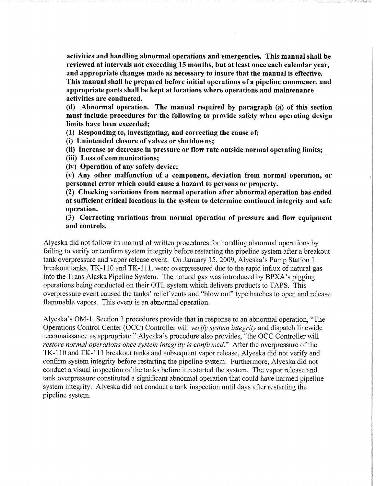activities and handling abnormal operations and emergencies. This manual shall be reviewed at intervals not exceeding 15 months, but at least once each calendar year, and appropriate changes made as necessary to insure that the manual is effective. This manual shall be prepared before initial operations of a pipeline commence, and appropriate parts shall be kept at locations where operations and maintenance activities are conducted.

(d) Abnormal operation. The manual required by paragraph (a) of this section must include procedures for the following to provide safety when operating design limits have been exceeded;

(1) Responding to, investigating, and correcting the cause of;

(i) Unintended closure of valves or shutdowns;

(ii) Increase or decrease in pressure or flow rate outside normal operating limits;

(iii) Loss of communications;

(iv) Operation of any safety device;

(v) Any other malfunction of a component, deviation from normal operation, or personnel error which could cause a hazard to persons or property.

(2) Checking variations from normal operation after abnormal operation has ended at sufficient critical locations in the system to determine continued integrity and safe operation.

(3) Correcting variations from normal operation of pressure and flow equipment and controls.

Alyeska did not follow its manual of written procedures for handling abnormal operations by failing to verify or confirm system integrity before restarting the pipeline system after a breakout tank overpressure and vapor release event. On January 15, 2009, Alyeska's Pump Station 1 breakout tanks, TK-110 and TK-111, were overpressured due to the rapid influx of natural gas into the Trans Alaska Pipeline System. The natural gas was introduced by BPXA's pigging operations being conducted on their OTL system which delivers products to TAPS. This overpressure event caused the tanks' relief vents and "blow out" type hatches to open and release flammable vapors. This event is an abnormal operation.

Alyeska's OM-1, Section 3 procedures provide that in response to an abnormal operation, "The Operations Control Center (OCC) Controller will verify system integrity and dispatch linewide reconnaissance as appropriate." Alyeska's procedure also provides, "the OCC Controller will restore normal operations once system integrity is confirmed." After the overpressure of the TK-110 and TK-111 breakout tanks and subsequent vapor release, Alyeska did not verify and confirm system integrity before restarting the pipeline system. Furthermore, Alyeska did not conduct a visual inspection of the tanks before it restarted the system. The vapor release and tank overpressure constituted a significant abnormal operation that could have harmed pipeline system integrity. Alyeska did not conduct a tank inspection until days after restarting the pipeline system.